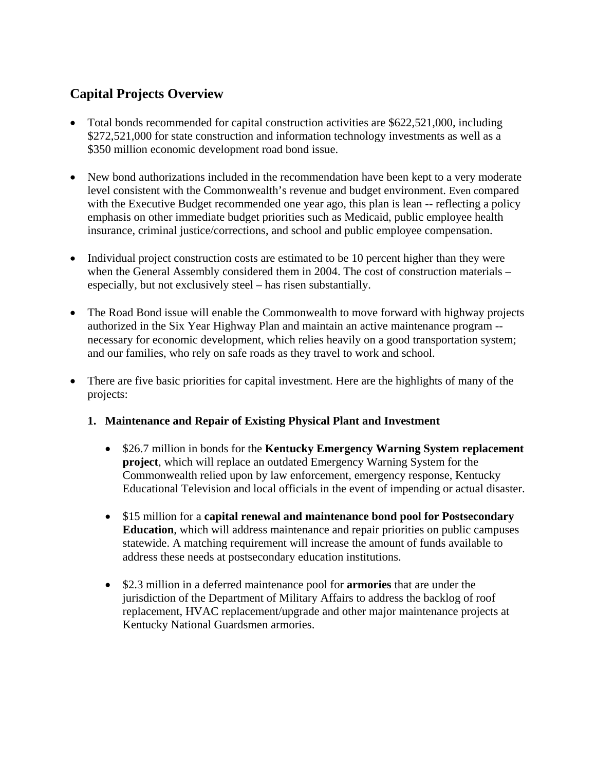# **Capital Projects Overview**

- Total bonds recommended for capital construction activities are \$622,521,000, including \$272,521,000 for state construction and information technology investments as well as a \$350 million economic development road bond issue.
- New bond authorizations included in the recommendation have been kept to a very moderate level consistent with the Commonwealth's revenue and budget environment. Even compared with the Executive Budget recommended one year ago, this plan is lean -- reflecting a policy emphasis on other immediate budget priorities such as Medicaid, public employee health insurance, criminal justice/corrections, and school and public employee compensation.
- Individual project construction costs are estimated to be 10 percent higher than they were when the General Assembly considered them in 2004. The cost of construction materials – especially, but not exclusively steel – has risen substantially.
- The Road Bond issue will enable the Commonwealth to move forward with highway projects authorized in the Six Year Highway Plan and maintain an active maintenance program - necessary for economic development, which relies heavily on a good transportation system; and our families, who rely on safe roads as they travel to work and school.
- There are five basic priorities for capital investment. Here are the highlights of many of the projects:

## **1. Maintenance and Repair of Existing Physical Plant and Investment**

- \$26.7 million in bonds for the **Kentucky Emergency Warning System replacement project**, which will replace an outdated Emergency Warning System for the Commonwealth relied upon by law enforcement, emergency response, Kentucky Educational Television and local officials in the event of impending or actual disaster.
- \$15 million for a **capital renewal and maintenance bond pool for Postsecondary Education**, which will address maintenance and repair priorities on public campuses statewide. A matching requirement will increase the amount of funds available to address these needs at postsecondary education institutions.
- \$2.3 million in a deferred maintenance pool for **armories** that are under the jurisdiction of the Department of Military Affairs to address the backlog of roof replacement, HVAC replacement/upgrade and other major maintenance projects at Kentucky National Guardsmen armories.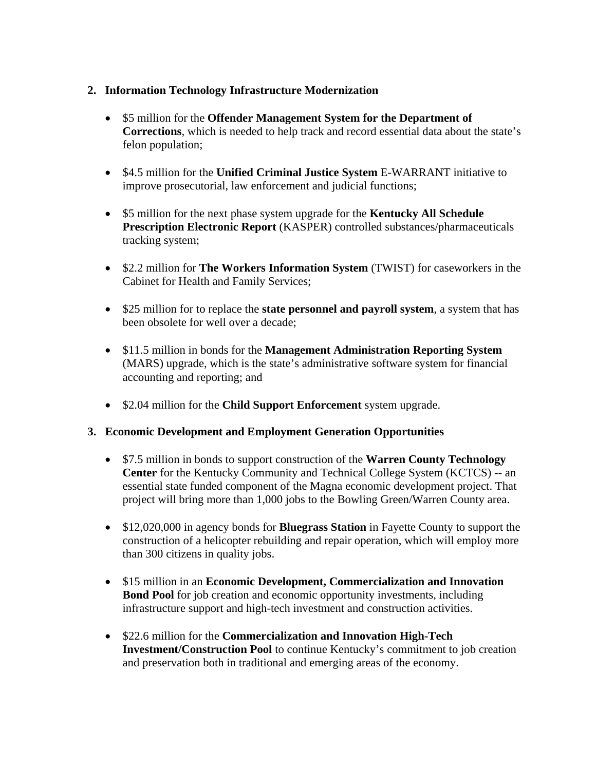#### **2. Information Technology Infrastructure Modernization**

- \$5 million for the **Offender Management System for the Department of Corrections**, which is needed to help track and record essential data about the state's felon population;
- \$4.5 million for the **Unified Criminal Justice System** E-WARRANT initiative to improve prosecutorial, law enforcement and judicial functions;
- \$5 million for the next phase system upgrade for the **Kentucky All Schedule Prescription Electronic Report** (KASPER) controlled substances/pharmaceuticals tracking system;
- \$2.2 million for **The Workers Information System** (TWIST) for caseworkers in the Cabinet for Health and Family Services;
- \$25 million for to replace the **state personnel and payroll system**, a system that has been obsolete for well over a decade;
- \$11.5 million in bonds for the **Management Administration Reporting System** (MARS) upgrade, which is the state's administrative software system for financial accounting and reporting; and
- \$2.04 million for the **Child Support Enforcement** system upgrade.

#### **3. Economic Development and Employment Generation Opportunities**

- \$7.5 million in bonds to support construction of the **Warren County Technology Center** for the Kentucky Community and Technical College System (KCTCS) -- an essential state funded component of the Magna economic development project. That project will bring more than 1,000 jobs to the Bowling Green/Warren County area.
- \$12,020,000 in agency bonds for **Bluegrass Station** in Fayette County to support the construction of a helicopter rebuilding and repair operation, which will employ more than 300 citizens in quality jobs.
- \$15 million in an **Economic Development, Commercialization and Innovation Bond Pool** for job creation and economic opportunity investments, including infrastructure support and high-tech investment and construction activities.
- \$22.6 million for the **Commercialization and Innovation High-Tech Investment/Construction Pool** to continue Kentucky's commitment to job creation and preservation both in traditional and emerging areas of the economy.